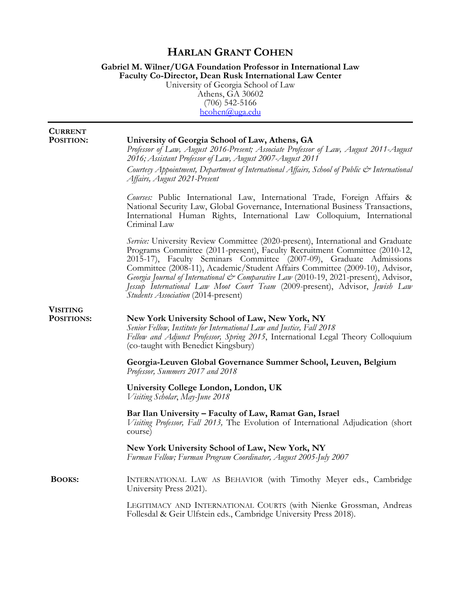## **HARLAN GRANT COHEN**

#### **Gabriel M. Wilner/UGA Foundation Professor in International Law Faculty Co-Director, Dean Rusk International Law Center** University of Georgia School of Law

Athens, GA 30602 (706) 542-5166 [hcohen@uga.edu](mailto:hcohen@uga.edu)

| <b>CURRENT</b><br>POSITION:   | University of Georgia School of Law, Athens, GA<br>Professor of Law, August 2016-Present; Associate Professor of Law, August 2011-August<br>2016; Assistant Professor of Law, August 2007-August 2011<br>Courtesy Appointment, Department of International Affairs, School of Public & International<br>Affairs, August 2021-Present                                                                                                                                                                                                      |
|-------------------------------|-------------------------------------------------------------------------------------------------------------------------------------------------------------------------------------------------------------------------------------------------------------------------------------------------------------------------------------------------------------------------------------------------------------------------------------------------------------------------------------------------------------------------------------------|
|                               | Courses: Public International Law, International Trade, Foreign Affairs &<br>National Security Law, Global Governance, International Business Transactions,<br>International Human Rights, International Law Colloquium, International<br>Criminal Law                                                                                                                                                                                                                                                                                    |
|                               | Service: University Review Committee (2020-present), International and Graduate<br>Programs Committee (2011-present), Faculty Recruitment Committee (2010-12,<br>2015-17), Faculty Seminars Committee (2007-09), Graduate Admissions<br>Committee (2008-11), Academic/Student Affairs Committee (2009-10), Advisor,<br>Georgia Journal of International & Comparative Law (2010-19, 2021-present), Advisor,<br>Jessup International Law Moot Court Team (2009-present), Advisor, Jewish Law<br><b>Students Association (2014-present)</b> |
| <b>VISITING</b><br>POSITIONS: | New York University School of Law, New York, NY<br>Senior Fellow, Institute for International Law and Justice, Fall 2018<br>Fellow and Adjunct Professor, Spring 2015, International Legal Theory Colloquium<br>(co-taught with Benedict Kingsbury)                                                                                                                                                                                                                                                                                       |
|                               | Georgia-Leuven Global Governance Summer School, Leuven, Belgium<br>Professor, Summers 2017 and 2018                                                                                                                                                                                                                                                                                                                                                                                                                                       |
|                               | University College London, London, UK<br>Visiting Scholar, May-June 2018                                                                                                                                                                                                                                                                                                                                                                                                                                                                  |
|                               | Bar Ilan University - Faculty of Law, Ramat Gan, Israel<br>Visiting Professor, Fall 2013, The Evolution of International Adjudication (short<br>course)                                                                                                                                                                                                                                                                                                                                                                                   |
|                               | New York University School of Law, New York, NY<br>Furman Fellow; Furman Program Coordinator, August 2005-July 2007                                                                                                                                                                                                                                                                                                                                                                                                                       |
| <b>BOOKS:</b>                 | INTERNATIONAL LAW AS BEHAVIOR (with Timothy Meyer eds., Cambridge<br>University Press 2021).                                                                                                                                                                                                                                                                                                                                                                                                                                              |
|                               | LEGITIMACY AND INTERNATIONAL COURTS (with Nienke Grossman, Andreas<br>Follesdal & Geir Ulfstein eds., Cambridge University Press 2018).                                                                                                                                                                                                                                                                                                                                                                                                   |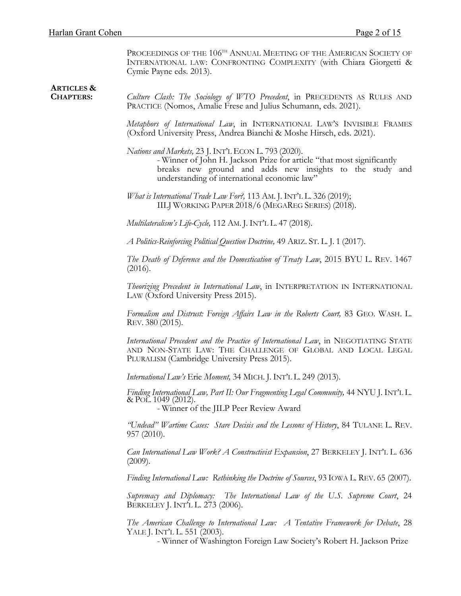PROCEEDINGS OF THE  $106^{\text{\tiny{TH}}}$  Annual Meeting of the American Society of INTERNATIONAL LAW: CONFRONTING COMPLEXITY (with Chiara Giorgetti & Cymie Payne eds. 2013).

| <b>ARTICLES &amp;</b><br><b>CHAPTERS:</b> | Culture Clash: The Sociology of WTO Precedent, in PRECEDENTS AS RULES AND<br>PRACTICE (Nomos, Amalie Frese and Julius Schumann, eds. 2021).                                                                                                |
|-------------------------------------------|--------------------------------------------------------------------------------------------------------------------------------------------------------------------------------------------------------------------------------------------|
|                                           | Metaphors of International Law, in INTERNATIONAL LAW'S INVISIBLE FRAMES<br>(Oxford University Press, Andrea Bianchi & Moshe Hirsch, eds. 2021).                                                                                            |
|                                           | Nations and Markets, 23 J. INT'L ECON L. 793 (2020).<br>- Winner of John H. Jackson Prize for article "that most significantly<br>breaks new ground and adds new insights to the study and<br>understanding of international economic law" |
|                                           | <i>What is International Trade Law For?</i> , 113 AM. J. INT'L L. 326 (2019);<br>IILJ WORKING PAPER 2018/6 (MEGAREG SERIES) (2018).                                                                                                        |
|                                           | Multilateralism's Life-Cycle, 112 AM. J. INT'L L. 47 (2018).                                                                                                                                                                               |
|                                           | A Politics-Reinforcing Political Question Doctrine, 49 ARIZ. ST. L. J. 1 (2017).                                                                                                                                                           |
|                                           | The Death of Deference and the Domestication of Treaty Law, 2015 BYU L. REV. 1467<br>(2016).                                                                                                                                               |
|                                           | Theorizing Precedent in International Law, in INTERPRETATION IN INTERNATIONAL<br>LAW (Oxford University Press 2015).                                                                                                                       |
|                                           | Formalism and Distrust: Foreign Affairs Law in the Roberts Court, 83 GEO. WASH. L.<br>REV. 380 (2015).                                                                                                                                     |
|                                           | International Precedent and the Practice of International Law, in NEGOTIATING STATE<br>AND NON-STATE LAW: THE CHALLENGE OF GLOBAL AND LOCAL LEGAL<br>PLURALISM (Cambridge University Press 2015).                                          |
|                                           | International Law's Erie Moment, 34 MICH. J. INT'L L. 249 (2013).                                                                                                                                                                          |
|                                           | Finding International Law, Part II: Our Fragmenting Legal Community, 44 NYU J. INT'L L.<br>& POL. 1049 (2012).<br>- Winner of the JILP Peer Review Award                                                                                   |
|                                           | "Undead" Wartime Cases: Stare Decisis and the Lessons of History, 84 TULANE L. REV.<br>$957(2010)$ .                                                                                                                                       |
|                                           | Can International Law Work? A Constructivist Expansion, 27 BERKELEY J. INT'L L. 636<br>(2009).                                                                                                                                             |
|                                           | Finding International Law: Rethinking the Doctrine of Sources, 93 IOWA L. REV. 65 (2007).                                                                                                                                                  |
|                                           | Supremacy and Diplomacy: The International Law of the U.S. Supreme Court, 24<br>BERKELEY J. INT'L L. 273 (2006).                                                                                                                           |
|                                           | The American Challenge to International Law: A Tentative Framework for Debate, 28<br>YALE J. INT'L L. 551 (2003).<br>- Winner of Washington Foreign Law Society's Robert H. Jackson Prize                                                  |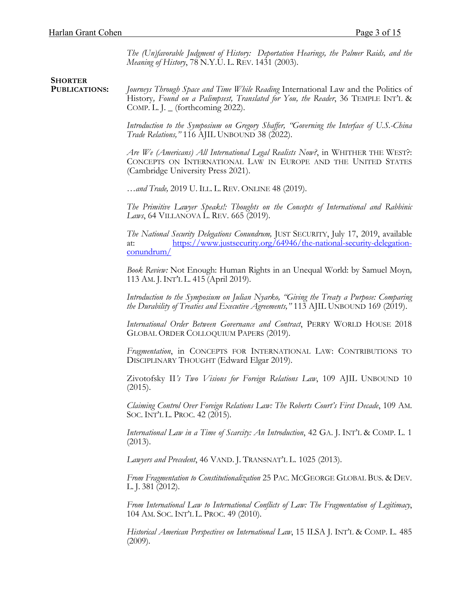*The (Un)favorable Judgment of History: Deportation Hearings, the Palmer Raids, and the Meaning of History*, 78 N.Y.U. L. REV. 1431 (2003).

 **SHORTER** 

 **PUBLICATIONS:** *Journeys Through Space and Time While Reading* International Law and the Politics of History*, Found on a Palimpsest, Translated for You, the Reader*, 36 TEMPLE INT'L & COMP. L. J.  $_$  (forthcoming 2022).

> *Introduction to the Symposium on Gregory Shaffer, "Governing the Interface of U.S.-China Trade Relations,"* 116 AJIL UNBOUND 38 (2022).

> *Are We (Americans) All International Legal Realists Now?*, in WHITHER THE WEST?: CONCEPTS ON INTERNATIONAL LAW IN EUROPE AND THE UNITED STATES (Cambridge University Press 2021).

*…and Trade,* 2019 U. ILL. L. REV. ONLINE 48 (2019).

*The Primitive Lawyer Speaks!: Thoughts on the Concepts of International and Rabbinic Laws*, 64 VILLANOVA L. REV. 665 (2019).

*The National Security Delegations Conundrum,* JUST SECURITY, July 17, 2019, available at: [https://www.justsecurity.org/64946/the-national-security-delegation](https://www.justsecurity.org/64946/the-national-security-delegation-conundrum/)[conundrum/](https://www.justsecurity.org/64946/the-national-security-delegation-conundrum/)

*Book Review:* Not Enough: Human Rights in an Unequal World: by Samuel Moyn*,*  113 AM. J. INT'L L. 415 (April 2019).

*Introduction to the Symposium on Julian Nyarko, "Giving the Treaty a Purpose: Comparing the Durability of Treaties and Executive Agreements,"* 113 AJIL UNBOUND 169 (2019).

*International Order Between Governance and Contract*, PERRY WORLD HOUSE 2018 GLOBAL ORDER COLLOQUIUM PAPERS (2019).

*Fragmentation*, in CONCEPTS FOR INTERNATIONAL LAW: CONTRIBUTIONS TO DISCIPLINARY THOUGHT (Edward Elgar 2019).

Zivotofsky II*'s Two Visions for Foreign Relations Law*, 109 AJIL UNBOUND 10  $(2015).$ 

*Claiming Control Over Foreign Relations Law: The Roberts Court's First Decade*, 109 AM. SOC. INT'L L. PROC. 42 (2015).

*International Law in a Time of Scarcity: An Introduction*, 42 GA. J. INT'L & COMP. L. 1 (2013).

*Lawyers and Precedent*, 46 VAND. J. TRANSNAT'L L. 1025 (2013).

*From Fragmentation to Constitutionalization* <sup>25</sup> PAC. MCGEORGE GLOBAL BUS. & DEV. L. J. <sup>381</sup> (2012).

*From International Law to International Conflicts of Law: The Fragmentation of Legitimacy*, 104 AM. SOC. INT'L L. PROC. 49 (2010).

*Historical American Perspectives on International Law*, 15 ILSA J. INT'L & COMP. L. 485  $(2009)$ .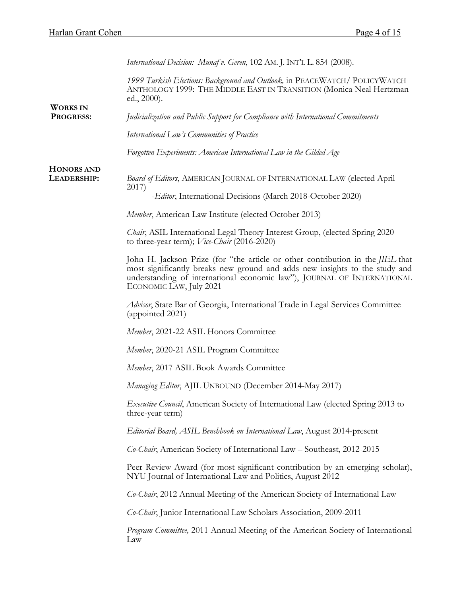|                                     | International Decision: Munaf v. Geren, 102 AM. J. INT'L L. 854 (2008).                                                                                                                                                                                             |
|-------------------------------------|---------------------------------------------------------------------------------------------------------------------------------------------------------------------------------------------------------------------------------------------------------------------|
|                                     | 1999 Turkish Elections: Background and Outlook, in PEACEWATCH/ POLICYWATCH<br>ANTHOLOGY 1999: THE MIDDLE EAST IN TRANSITION (Monica Neal Hertzman<br>ed., 2000).                                                                                                    |
| <b>WORKS IN</b><br><b>PROGRESS:</b> | Judicialization and Public Support for Compliance with International Commitments                                                                                                                                                                                    |
|                                     | International Law's Communities of Practice                                                                                                                                                                                                                         |
|                                     | Forgotten Experiments: American International Law in the Gilded Age                                                                                                                                                                                                 |
| <b>HONORS AND</b><br>LEADERSHIP:    | <b>Board of Editors, AMERICAN JOURNAL OF INTERNATIONAL LAW (elected April</b><br>2017)                                                                                                                                                                              |
|                                     | -Editor, International Decisions (March 2018-October 2020)                                                                                                                                                                                                          |
|                                     | Member, American Law Institute (elected October 2013)                                                                                                                                                                                                               |
|                                     | Chair, ASIL International Legal Theory Interest Group, (elected Spring 2020<br>to three-year term); $Vice-Chair (2016-2020)$                                                                                                                                        |
|                                     | John H. Jackson Prize (for "the article or other contribution in the JIEL that<br>most significantly breaks new ground and adds new insights to the study and<br>understanding of international economic law"), JOURNAL OF INTERNATIONAL<br>ECONOMIC LAW, July 2021 |
|                                     | Advisor, State Bar of Georgia, International Trade in Legal Services Committee<br>(appointed 2021)                                                                                                                                                                  |
|                                     | Member, 2021-22 ASIL Honors Committee                                                                                                                                                                                                                               |
|                                     | Member, 2020-21 ASIL Program Committee                                                                                                                                                                                                                              |
|                                     | Member, 2017 ASIL Book Awards Committee                                                                                                                                                                                                                             |
|                                     | Managing Editor, AJIL UNBOUND (December 2014-May 2017)                                                                                                                                                                                                              |
|                                     | Executive Council, American Society of International Law (elected Spring 2013 to<br>three-year term)                                                                                                                                                                |
|                                     | Editorial Board, ASIL Benchbook on International Law, August 2014-present                                                                                                                                                                                           |
|                                     | Co-Chair, American Society of International Law - Southeast, 2012-2015                                                                                                                                                                                              |
|                                     | Peer Review Award (for most significant contribution by an emerging scholar),<br>NYU Journal of International Law and Politics, August 2012                                                                                                                         |
|                                     | Co-Chair, 2012 Annual Meeting of the American Society of International Law                                                                                                                                                                                          |
|                                     | Co-Chair, Junior International Law Scholars Association, 2009-2011                                                                                                                                                                                                  |
|                                     | Program Committee, 2011 Annual Meeting of the American Society of International<br>Law                                                                                                                                                                              |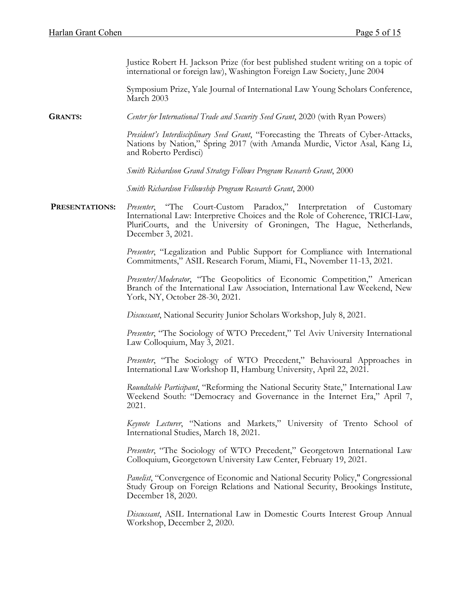Justice Robert H. Jackson Prize (for best published student writing on a topic of international or foreign law), Washington Foreign Law Society, June 2004

Symposium Prize, Yale Journal of International Law Young Scholars Conference, March 2003

**GRANTS:** *Center for International Trade and Security Seed Grant*, 2020 (with Ryan Powers)

*President's Interdisciplinary Seed Grant*, "Forecasting the Threats of Cyber-Attacks, Nations by Nation," Spring 2017 (with Amanda Murdie, Victor Asal, Kang Li, and Roberto Perdisci)

*Smith Richardson Grand Strategy Fellows Program Research Grant*, 2000

*Smith Richardson Fellowship Program Research Grant*, 2000

 **PRESENTATIONS:** *Presenter*, "The Court-Custom Paradox," Interpretation of Customary International Law: Interpretive Choices and the Role of Coherence, TRICI-Law, PluriCourts, and the University of Groningen, The Hague, Netherlands, December 3, 2021.

> *Presenter*, "Legalization and Public Support for Compliance with International Commitments," ASIL Research Forum, Miami, FL, November 11-13, 2021.

> *Presenter/Moderator*, "The Geopolitics of Economic Competition," American Branch of the International Law Association, International Law Weekend, New York, NY, October 28-30, 2021.

*Discussant*, National Security Junior Scholars Workshop, July 8, 2021.

*Presenter*, "The Sociology of WTO Precedent," Tel Aviv University International Law Colloquium, May 3, 2021.

*Presenter*, "The Sociology of WTO Precedent," Behavioural Approaches in International Law Workshop II, Hamburg University, April 22, 2021.

*Roundtable Participant*, "Reforming the National Security State," International Law Weekend South: "Democracy and Governance in the Internet Era," April 7, 2021.

*Keynote Lecturer*, "Nations and Markets," University of Trento School of International Studies, March 18, 2021.

*Presenter*, "The Sociology of WTO Precedent," Georgetown International Law Colloquium, Georgetown University Law Center, February 19, 2021.

*Panelist*, "Convergence of Economic and National Security Policy," Congressional Study Group on Foreign Relations and National Security, Brookings Institute, December 18, 2020.

*Discussant*, ASIL International Law in Domestic Courts Interest Group Annual Workshop, December 2, 2020.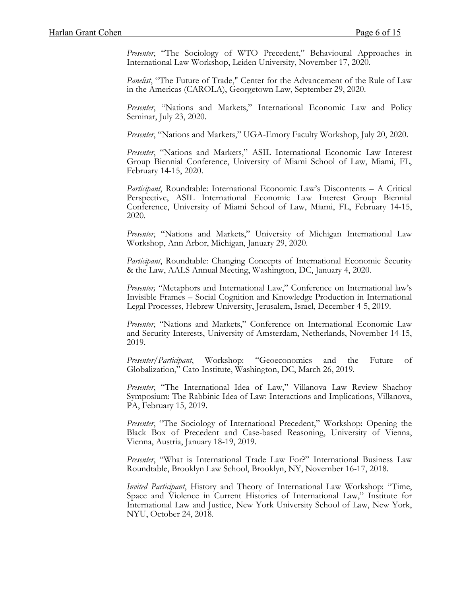*Presenter*, "The Sociology of WTO Precedent," Behavioural Approaches in International Law Workshop, Leiden University, November 17, 2020.

*Panelist*, "The Future of Trade," Center for the Advancement of the Rule of Law in the Americas (CAROLA), Georgetown Law, September 29, 2020.

*Presenter*, "Nations and Markets," International Economic Law and Policy Seminar, July 23, 2020.

*Presenter*, "Nations and Markets," UGA-Emory Faculty Workshop, July 20, 2020.

*Presenter*, "Nations and Markets," ASIL International Economic Law Interest Group Biennial Conference, University of Miami School of Law, Miami, FL, February 14-15, 2020.

*Participant*, Roundtable: International Economic Law's Discontents – A Critical Perspective, ASIL International Economic Law Interest Group Biennial Conference, University of Miami School of Law, Miami, FL, February 14-15, 2020.

*Presenter*, "Nations and Markets," University of Michigan International Law Workshop, Ann Arbor, Michigan, January 29, 2020.

*Participant*, Roundtable: Changing Concepts of International Economic Security & the Law, AALS Annual Meeting, Washington, DC, January 4, 2020.

*Presenter,* "Metaphors and International Law," Conference on International law's Invisible Frames – Social Cognition and Knowledge Production in International Legal Processes, Hebrew University, Jerusalem, Israel, December 4-5, 2019.

*Presenter*, "Nations and Markets," Conference on International Economic Law and Security Interests, University of Amsterdam, Netherlands, November 14-15, 2019.

*Presenter/Participant*, Workshop: "Geoeconomics and the Future of Globalization," Cato Institute, Washington, DC, March 26, 2019.

*Presenter*, "The International Idea of Law," Villanova Law Review Shachoy Symposium: The Rabbinic Idea of Law: Interactions and Implications, Villanova, PA, February 15, 2019.

*Presenter*, "The Sociology of International Precedent," Workshop: Opening the Black Box of Precedent and Case-based Reasoning, University of Vienna, Vienna, Austria, January 18-19, 2019.

*Presenter*, "What is International Trade Law For?" International Business Law Roundtable, Brooklyn Law School, Brooklyn, NY, November 16-17, 2018.

*Invited Participant*, History and Theory of International Law Workshop: "Time, Space and Violence in Current Histories of International Law," Institute for International Law and Justice, New York University School of Law, New York, NYU, October 24, 2018.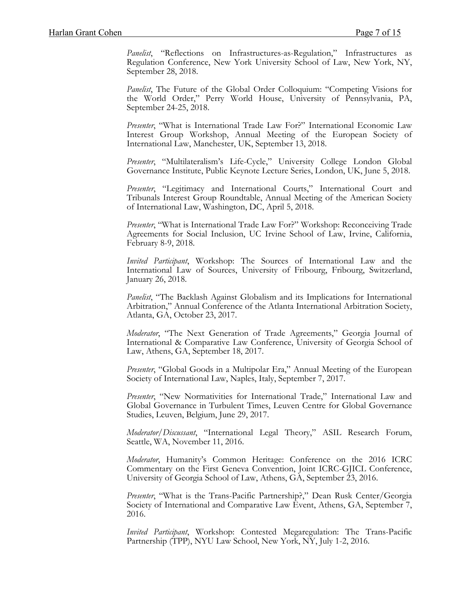*Panelist*, "Reflections on Infrastructures-as-Regulation," Infrastructures as Regulation Conference, New York University School of Law, New York, NY, September 28, 2018.

*Panelist*, The Future of the Global Order Colloquium: "Competing Visions for the World Order," Perry World House, University of Pennsylvania, PA, September 24-25, 2018.

*Presenter*, "What is International Trade Law For?" International Economic Law Interest Group Workshop, Annual Meeting of the European Society of International Law, Manchester, UK, September 13, 2018.

*Presenter*, "Multilateralism's Life-Cycle," University College London Global Governance Institute, Public Keynote Lecture Series, London, UK, June 5, 2018.

*Presenter*, "Legitimacy and International Courts," International Court and Tribunals Interest Group Roundtable, Annual Meeting of the American Society of International Law, Washington, DC, April 5, 2018.

*Presenter*, "What is International Trade Law For?" Workshop: Reconceiving Trade Agreements for Social Inclusion, UC Irvine School of Law, Irvine, California, February 8-9, 2018.

*Invited Participant*, Workshop: The Sources of International Law and the International Law of Sources, University of Fribourg, Fribourg, Switzerland, January 26, 2018.

*Panelist*, "The Backlash Against Globalism and its Implications for International Arbitration," Annual Conference of the Atlanta International Arbitration Society, Atlanta, GA, October 23, 2017.

*Moderator*, "The Next Generation of Trade Agreements," Georgia Journal of International & Comparative Law Conference, University of Georgia School of Law, Athens, GA, September 18, 2017.

*Presenter*, "Global Goods in a Multipolar Era," Annual Meeting of the European Society of International Law, Naples, Italy, September 7, 2017.

*Presenter*, "New Normativities for International Trade," International Law and Global Governance in Turbulent Times, Leuven Centre for Global Governance Studies, Leuven, Belgium, June 29, 2017.

*Moderator/Discussant*, "International Legal Theory," ASIL Research Forum, Seattle, WA, November 11, 2016.

*Moderator*, Humanity's Common Heritage: Conference on the 2016 ICRC Commentary on the First Geneva Convention, Joint ICRC-GJICL Conference, University of Georgia School of Law, Athens, GA, September 23, 2016.

*Presenter*, "What is the Trans-Pacific Partnership?," Dean Rusk Center/Georgia Society of International and Comparative Law Event, Athens, GA, September 7, 2016.

*Invited Participant*, Workshop: Contested Megaregulation: The Trans-Pacific Partnership (TPP), NYU Law School, New York, NY, July 1-2, 2016.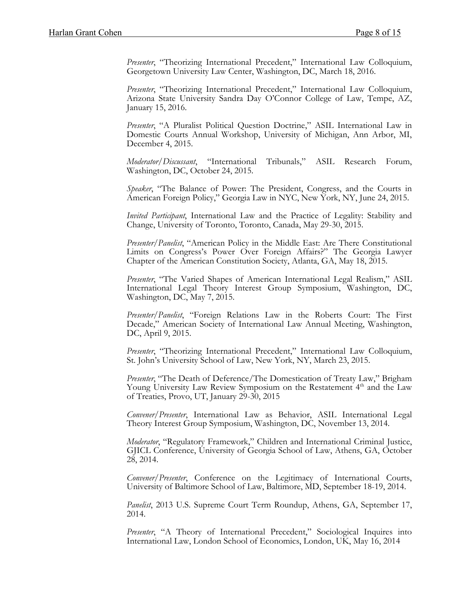*Presenter*, "Theorizing International Precedent," International Law Colloquium, Georgetown University Law Center, Washington, DC, March 18, 2016.

*Presenter*, "Theorizing International Precedent," International Law Colloquium, Arizona State University Sandra Day O'Connor College of Law, Tempe, AZ, January 15, 2016.

*Presenter*, "A Pluralist Political Question Doctrine," ASIL International Law in Domestic Courts Annual Workshop, University of Michigan, Ann Arbor, MI, December 4, 2015.

*Moderator/Discussant*, "International Tribunals," ASIL Research Forum, Washington, DC, October 24, 2015.

*Speaker*, "The Balance of Power: The President, Congress, and the Courts in American Foreign Policy," Georgia Law in NYC, New York, NY, June 24, 2015.

*Invited Participant*, International Law and the Practice of Legality: Stability and Change, University of Toronto, Toronto, Canada, May 29-30, 2015.

*Presenter/Panelist*, "American Policy in the Middle East: Are There Constitutional Limits on Congress's Power Over Foreign Affairs?" The Georgia Lawyer Chapter of the American Constitution Society, Atlanta, GA, May 18, 2015.

*Presenter*, "The Varied Shapes of American International Legal Realism," ASIL International Legal Theory Interest Group Symposium, Washington, DC, Washington, DC, May 7, 2015.

*Presenter/Panelist*, "Foreign Relations Law in the Roberts Court: The First Decade," American Society of International Law Annual Meeting, Washington, DC, April 9, 2015.

*Presenter*, "Theorizing International Precedent," International Law Colloquium, St. John's University School of Law, New York, NY, March 23, 2015.

*Presenter*, "The Death of Deference/The Domestication of Treaty Law," Brigham Young University Law Review Symposium on the Restatement 4<sup>th</sup> and the Law of Treaties, Provo, UT, January 29-30, 2015

*Convener/Presenter*, International Law as Behavior, ASIL International Legal Theory Interest Group Symposium, Washington, DC, November 13, 2014.

*Moderator*, "Regulatory Framework," Children and International Criminal Justice, GJICL Conference, University of Georgia School of Law, Athens, GA, October 28, 2014.

*Convener/Presenter*, Conference on the Legitimacy of International Courts, University of Baltimore School of Law, Baltimore, MD, September 18-19, 2014.

*Panelist*, 2013 U.S. Supreme Court Term Roundup, Athens, GA, September 17, 2014.

*Presenter*, "A Theory of International Precedent," Sociological Inquires into International Law, London School of Economics, London, UK, May 16, 2014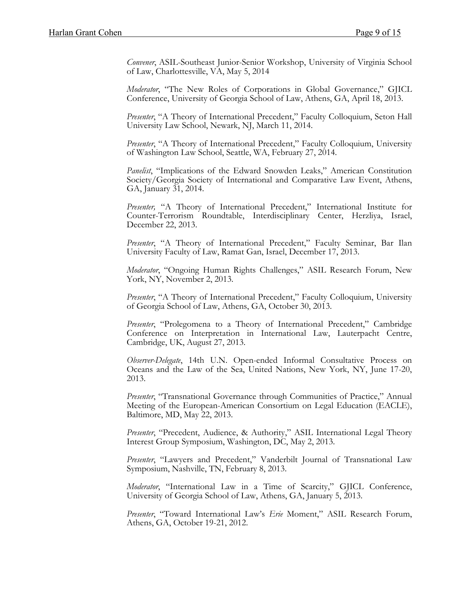*Convener*, ASIL-Southeast Junior-Senior Workshop, University of Virginia School of Law, Charlottesville, VA, May 5, 2014

*Moderator*, "The New Roles of Corporations in Global Governance," GJICL Conference, University of Georgia School of Law, Athens, GA, April 18, 2013.

*Presenter*, "A Theory of International Precedent," Faculty Colloquium, Seton Hall University Law School, Newark, NJ, March 11, 2014.

*Presenter*, "A Theory of International Precedent," Faculty Colloquium, University of Washington Law School, Seattle, WA, February 27, 2014.

*Panelist*, "Implications of the Edward Snowden Leaks," American Constitution Society/Georgia Society of International and Comparative Law Event, Athens, GA, January 31, 2014.

*Presenter,* "A Theory of International Precedent," International Institute for Counter-Terrorism Roundtable, Interdisciplinary Center, Herzliya, Israel, December 22, 2013.

*Presenter*, "A Theory of International Precedent," Faculty Seminar, Bar Ilan University Faculty of Law, Ramat Gan, Israel, December 17, 2013.

*Moderator*, "Ongoing Human Rights Challenges," ASIL Research Forum, New York, NY, November 2, 2013.

*Presenter*, "A Theory of International Precedent," Faculty Colloquium, University of Georgia School of Law, Athens, GA, October 30, 2013.

*Presenter*, "Prolegomena to a Theory of International Precedent," Cambridge Conference on Interpretation in International Law, Lauterpacht Centre, Cambridge, UK, August 27, 2013.

*Observer-Delegate*, 14th U.N. Open-ended Informal Consultative Process on Oceans and the Law of the Sea, United Nations, New York, NY, June 17-20, 2013.

*Presenter*, "Transnational Governance through Communities of Practice," Annual Meeting of the European-American Consortium on Legal Education (EACLE), Baltimore, MD, May 22, 2013.

*Presenter*, "Precedent, Audience, & Authority," ASIL International Legal Theory Interest Group Symposium, Washington, DC, May 2, 2013.

*Presenter*, "Lawyers and Precedent," Vanderbilt Journal of Transnational Law Symposium, Nashville, TN, February 8, 2013.

*Moderator*, "International Law in a Time of Scarcity," GJICL Conference, University of Georgia School of Law, Athens, GA, January 5, 2013.

*Presenter*, "Toward International Law's *Erie* Moment," ASIL Research Forum, Athens, GA, October 19-21, 2012.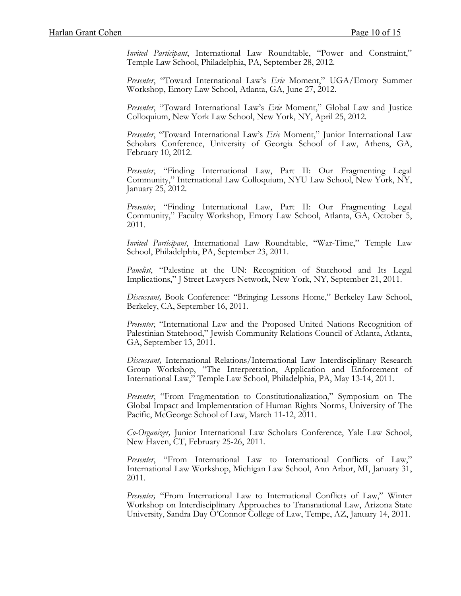*Invited Participant*, International Law Roundtable, "Power and Constraint," Temple Law School, Philadelphia, PA, September 28, 2012.

*Presenter*, "Toward International Law's *Erie* Moment," UGA/Emory Summer Workshop, Emory Law School, Atlanta, GA, June 27, 2012.

*Presenter*, "Toward International Law's *Erie* Moment," Global Law and Justice Colloquium, New York Law School, New York, NY, April 25, 2012.

*Presenter*, "Toward International Law's *Erie* Moment," Junior International Law Scholars Conference, University of Georgia School of Law, Athens, GA, February 10, 2012.

*Presenter*, "Finding International Law, Part II: Our Fragmenting Legal Community," International Law Colloquium, NYU Law School, New York, NY, January 25, 2012.

*Presenter*, "Finding International Law, Part II: Our Fragmenting Legal Community," Faculty Workshop, Emory Law School, Atlanta, GA, October 5, 2011.

*Invited Participant*, International Law Roundtable, "War-Time," Temple Law School, Philadelphia, PA, September 23, 2011.

*Panelist*, "Palestine at the UN: Recognition of Statehood and Its Legal Implications," J Street Lawyers Network, New York, NY, September 21, 2011.

*Discussant,* Book Conference: "Bringing Lessons Home," Berkeley Law School, Berkeley, CA, September 16, 2011.

*Presenter*, "International Law and the Proposed United Nations Recognition of Palestinian Statehood," Jewish Community Relations Council of Atlanta, Atlanta, GA, September 13, 2011.

*Discussant,* International Relations/International Law Interdisciplinary Research Group Workshop, "The Interpretation, Application and Enforcement of International Law," Temple Law School, Philadelphia, PA, May 13-14, 2011.

*Presenter*, "From Fragmentation to Constitutionalization," Symposium on The Global Impact and Implementation of Human Rights Norms, University of The Pacific, McGeorge School of Law, March 11-12, 2011.

*Co-Organizer,* Junior International Law Scholars Conference, Yale Law School, New Haven, CT, February 25-26, 2011.

*Presenter*, "From International Law to International Conflicts of Law," International Law Workshop, Michigan Law School, Ann Arbor, MI, January 31, 2011.

*Presenter,* "From International Law to International Conflicts of Law," Winter Workshop on Interdisciplinary Approaches to Transnational Law, Arizona State University, Sandra Day O'Connor College of Law, Tempe, AZ, January 14, 2011.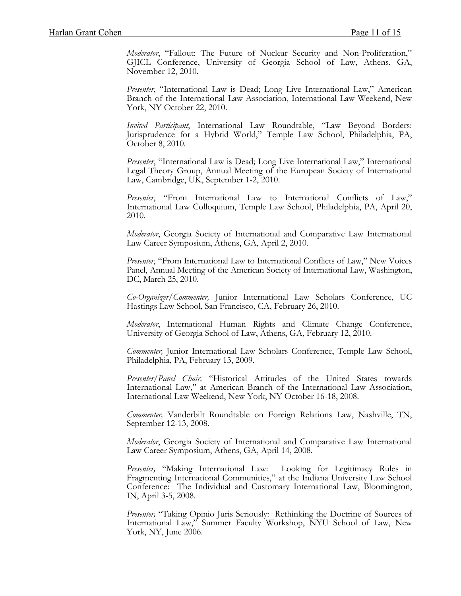*Moderator*, "Fallout: The Future of Nuclear Security and Non-Proliferation," GJICL Conference, University of Georgia School of Law, Athens, GA, November 12, 2010.

*Presenter*, "International Law is Dead; Long Live International Law," American Branch of the International Law Association, International Law Weekend, New York, NY October 22, 2010.

*Invited Participant*, International Law Roundtable, "Law Beyond Borders: Jurisprudence for a Hybrid World," Temple Law School, Philadelphia, PA, October 8, 2010.

*Presenter*, "International Law is Dead; Long Live International Law," International Legal Theory Group, Annual Meeting of the European Society of International Law, Cambridge, UK, September 1-2, 2010.

*Presenter*, "From International Law to International Conflicts of Law," International Law Colloquium, Temple Law School, Philadelphia, PA, April 20, 2010.

*Moderator*, Georgia Society of International and Comparative Law International Law Career Symposium, Athens, GA, April 2, 2010.

*Presenter*, "From International Law to International Conflicts of Law," New Voices Panel, Annual Meeting of the American Society of International Law, Washington, DC, March 25, 2010.

*Co-Organizer/Commenter,* Junior International Law Scholars Conference, UC Hastings Law School, San Francisco, CA, February 26, 2010.

*Moderator*, International Human Rights and Climate Change Conference, University of Georgia School of Law, Athens, GA, February 12, 2010.

*Commenter,* Junior International Law Scholars Conference, Temple Law School, Philadelphia, PA, February 13, 2009.

*Presenter/Panel Chair,* "Historical Attitudes of the United States towards International Law," at American Branch of the International Law Association, International Law Weekend, New York, NY October 16-18, 2008.

*Commenter,* Vanderbilt Roundtable on Foreign Relations Law, Nashville, TN, September 12-13, 2008.

*Moderator*, Georgia Society of International and Comparative Law International Law Career Symposium, Athens, GA, April 14, 2008.

*Presenter,* "Making International Law: Looking for Legitimacy Rules in Fragmenting International Communities," at the Indiana University Law School Conference: The Individual and Customary International Law, Bloomington, IN, April 3-5, 2008.

*Presenter,* "Taking Opinio Juris Seriously: Rethinking the Doctrine of Sources of International Law," Summer Faculty Workshop, NYU School of Law, New York, NY, June 2006.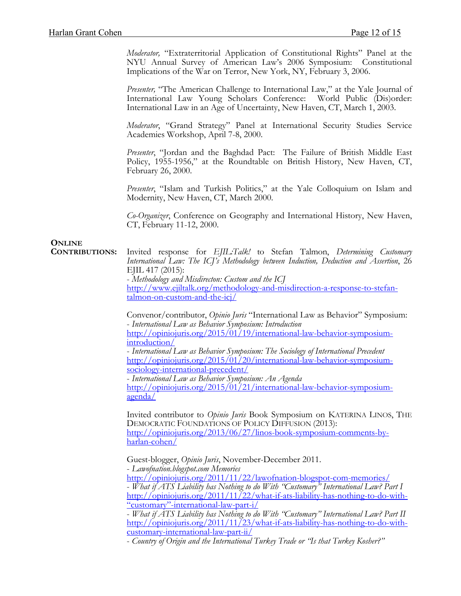*Moderator,* "Extraterritorial Application of Constitutional Rights" Panel at the NYU Annual Survey of American Law's 2006 Symposium: Constitutional Implications of the War on Terror, New York, NY, February 3, 2006.

*Presenter,* "The American Challenge to International Law," at the Yale Journal of International Law Young Scholars Conference: World Public (Dis)order: International Law in an Age of Uncertainty, New Haven, CT, March 1, 2003.

*Moderator*, "Grand Strategy" Panel at International Security Studies Service Academies Workshop, April 7-8, 2000.

*Presenter*, "Jordan and the Baghdad Pact: The Failure of British Middle East Policy, 1955-1956," at the Roundtable on British History, New Haven, CT, February 26, 2000.

*Presenter*, "Islam and Turkish Politics," at the Yale Colloquium on Islam and Modernity, New Haven, CT, March 2000.

*Co-Organizer*, Conference on Geography and International History, New Haven, CT, February 11-12, 2000.

## **ONLINE**

 **CONTRIBUTIONS:** Invited response for *EJIL:Talk!* to Stefan Talmon, *Determining Customary International Law: The ICJ's Methodology between Induction, Deduction and Assertion*, 26 EJIL 417 (2015): - *Methodology and Misdirecton: Custom and the ICJ* [http://www.ejiltalk.org/methodology-and-misdirection-a-response-to-stefan](http://www.ejiltalk.org/methodology-and-misdirection-a-response-to-stefan-talmon-on-custom-and-the-icj/)[talmon-on-custom-and-the-icj/](http://www.ejiltalk.org/methodology-and-misdirection-a-response-to-stefan-talmon-on-custom-and-the-icj/)

> Convenor/contributor, *Opinio Juris* "International Law as Behavior" Symposium: - *International Law as Behavior Symposium: Introduction* [http://opiniojuris.org/2015/01/19/international-law-behavior-symposium](http://opiniojuris.org/2015/01/19/international-law-behavior-symposium-introduction/)[introduction/](http://opiniojuris.org/2015/01/19/international-law-behavior-symposium-introduction/)

- *International Law as Behavior Symposium: The Sociology of International Precedent* [http://opiniojuris.org/2015/01/20/international-law-behavior-symposium](http://opiniojuris.org/2015/01/20/international-law-behavior-symposium-sociology-international-precedent/)[sociology-international-precedent/](http://opiniojuris.org/2015/01/20/international-law-behavior-symposium-sociology-international-precedent/)

- *International Law as Behavior Symposium: An Agenda* [http://opiniojuris.org/2015/01/21/international-law-behavior-symposium](http://opiniojuris.org/2015/01/21/international-law-behavior-symposium-agenda/)[agenda/](http://opiniojuris.org/2015/01/21/international-law-behavior-symposium-agenda/)

Invited contributor to *Opinio Juris* Book Symposium on KATERINA LINOS, THE DEMOCRATIC FOUNDATIONS OF POLICY DIFFUSION (2013): [http://opiniojuris.org/2013/06/27/linos-book-symposium-comments-by](http://opiniojuris.org/2013/06/27/linos-book-symposium-comments-by-harlan-cohen/)[harlan-cohen/](http://opiniojuris.org/2013/06/27/linos-book-symposium-comments-by-harlan-cohen/)

Guest-blogger, *Opinio Juris*, November-December 2011.

- *Lawofnation.blogspot.com Memories* - What if ATS Liability has Nothing to do With "Customary" International Law? Part I [http://opiniojuris.org/2011/11/22/what-if-ats-liability-has-nothing-to-do-with-](http://opiniojuris.org/2011/11/22/what-if-ats-liability-has-nothing-to-do-with-/%E2%80%9Ccustomary/%E2%80%9D-international-law-part-i/)<br>"customary"-international-law-part-i/

- *What if ATS Liability has Nothing to do With "Customary" International Law? Part II* [http://opiniojuris.org/2011/11/23/what-if-ats-liability-has-nothing-to-do-with-](http://opiniojuris.org/2011/11/23/what-if-ats-liability-has-nothing-to-do-with-customary-international-law-part-ii/) [customary-international-law-part-ii/](http://opiniojuris.org/2011/11/23/what-if-ats-liability-has-nothing-to-do-with-customary-international-law-part-ii/) - *Country of Origin and the International Turkey Trade or "Is that Turkey Kosher?"*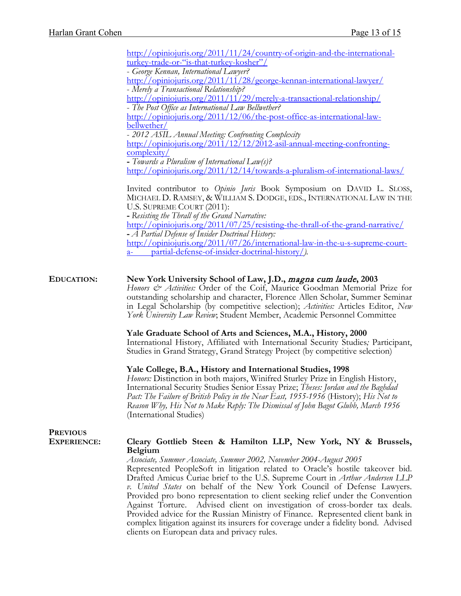|                    | http://opiniojuris.org/2011/11/24/country-of-origin-and-the-international-                                                                                                                                                                                                                                                                                                                                                                                                                                                                                                                                                                                                      |
|--------------------|---------------------------------------------------------------------------------------------------------------------------------------------------------------------------------------------------------------------------------------------------------------------------------------------------------------------------------------------------------------------------------------------------------------------------------------------------------------------------------------------------------------------------------------------------------------------------------------------------------------------------------------------------------------------------------|
|                    | turkey-trade-or-"is-that-turkey-kosher"/                                                                                                                                                                                                                                                                                                                                                                                                                                                                                                                                                                                                                                        |
|                    | - George Kennan, International Lawyer?                                                                                                                                                                                                                                                                                                                                                                                                                                                                                                                                                                                                                                          |
|                    | http://opiniojuris.org/2011/11/28/george-kennan-international-lawyer/                                                                                                                                                                                                                                                                                                                                                                                                                                                                                                                                                                                                           |
|                    | - Merely a Transactional Relationship?                                                                                                                                                                                                                                                                                                                                                                                                                                                                                                                                                                                                                                          |
|                    | http://opiniojuris.org/2011/11/29/merely-a-transactional-relationship/<br>- The Post Office as International Law Bellwether?                                                                                                                                                                                                                                                                                                                                                                                                                                                                                                                                                    |
|                    | http://opiniojuris.org/2011/12/06/the-post-office-as-international-law-                                                                                                                                                                                                                                                                                                                                                                                                                                                                                                                                                                                                         |
|                    | bellwether/                                                                                                                                                                                                                                                                                                                                                                                                                                                                                                                                                                                                                                                                     |
|                    | - 2012 ASIL Annual Meeting: Confronting Complexity                                                                                                                                                                                                                                                                                                                                                                                                                                                                                                                                                                                                                              |
|                    | http://opiniojuris.org/2011/12/12/2012-asil-annual-meeting-confronting-                                                                                                                                                                                                                                                                                                                                                                                                                                                                                                                                                                                                         |
|                    | complexity/                                                                                                                                                                                                                                                                                                                                                                                                                                                                                                                                                                                                                                                                     |
|                    | - Towards a Pluralism of International Law(s)?                                                                                                                                                                                                                                                                                                                                                                                                                                                                                                                                                                                                                                  |
|                    | http://opiniojuris.org/2011/12/14/towards-a-pluralism-of-international-laws/                                                                                                                                                                                                                                                                                                                                                                                                                                                                                                                                                                                                    |
|                    |                                                                                                                                                                                                                                                                                                                                                                                                                                                                                                                                                                                                                                                                                 |
|                    | Invited contributor to Opinio Juris Book Symposium on DAVID L. SLOSS,                                                                                                                                                                                                                                                                                                                                                                                                                                                                                                                                                                                                           |
|                    | MICHAEL D. RAMSEY, & WILLIAM S. DODGE, EDS., INTERNATIONAL LAW IN THE                                                                                                                                                                                                                                                                                                                                                                                                                                                                                                                                                                                                           |
|                    | U.S. SUPREME COURT (2011):                                                                                                                                                                                                                                                                                                                                                                                                                                                                                                                                                                                                                                                      |
|                    | - Resisting the Thrall of the Grand Narrative:                                                                                                                                                                                                                                                                                                                                                                                                                                                                                                                                                                                                                                  |
|                    | http://opiniojuris.org/2011/07/25/resisting-the-thrall-of-the-grand-narrative/                                                                                                                                                                                                                                                                                                                                                                                                                                                                                                                                                                                                  |
|                    | - A Partial Defense of Insider Doctrinal History:                                                                                                                                                                                                                                                                                                                                                                                                                                                                                                                                                                                                                               |
|                    | http://opiniojuris.org/2011/07/26/international-law-in-the-u-s-supreme-court-                                                                                                                                                                                                                                                                                                                                                                                                                                                                                                                                                                                                   |
|                    | partial-defense-of-insider-doctrinal-history/).<br>$a-$                                                                                                                                                                                                                                                                                                                                                                                                                                                                                                                                                                                                                         |
|                    |                                                                                                                                                                                                                                                                                                                                                                                                                                                                                                                                                                                                                                                                                 |
| <b>EDUCATION:</b>  | New York University School of Law, J.D., magna cum laude, 2003<br>Honors & Activities: Order of the Coif, Maurice Goodman Memorial Prize for<br>outstanding scholarship and character, Florence Allen Scholar, Summer Seminar<br>in Legal Scholarship (by competitive selection); Activities: Articles Editor, New<br>York University Law Review; Student Member, Academic Personnel Committee                                                                                                                                                                                                                                                                                  |
|                    | Yale Graduate School of Arts and Sciences, M.A., History, 2000<br>International History, Affiliated with International Security Studies; Participant,<br>Studies in Grand Strategy, Grand Strategy Project (by competitive selection)                                                                                                                                                                                                                                                                                                                                                                                                                                           |
|                    | Yale College, B.A., History and International Studies, 1998<br>Honors: Distinction in both majors, Winifred Sturley Prize in English History,<br>International Security Studies Senior Essay Prize; Theses: Jordan and the Baghdad<br>Pact: The Failure of British Policy in the Near East, 1955-1956 (History); His Not to<br>Reason Why, His Not to Make Reply: The Dismissal of John Bagot Glubb, March 1956<br>(International Studies)                                                                                                                                                                                                                                      |
| <b>PREVIOUS</b>    |                                                                                                                                                                                                                                                                                                                                                                                                                                                                                                                                                                                                                                                                                 |
| <b>EXPERIENCE:</b> | Cleary Gottlieb Steen & Hamilton LLP, New York, NY & Brussels,                                                                                                                                                                                                                                                                                                                                                                                                                                                                                                                                                                                                                  |
|                    | <b>Belgium</b><br>Associate, Summer Associate, Summer 2002, November 2004-August 2005<br>Represented PeopleSoft in litigation related to Oracle's hostile takeover bid.<br>Drafted Amicus Curiae brief to the U.S. Supreme Court in Arthur Andersen LLP<br>v. United States on behalf of the New York Council of Defense Lawyers.<br>Provided pro bono representation to client seeking relief under the Convention<br>Advised client on investigation of cross-border tax deals.<br>Against Torture.<br>Provided advice for the Russian Ministry of Finance. Represented client bank in<br>complex litigation against its insurers for coverage under a fidelity bond. Advised |

clients on European data and privacy rules.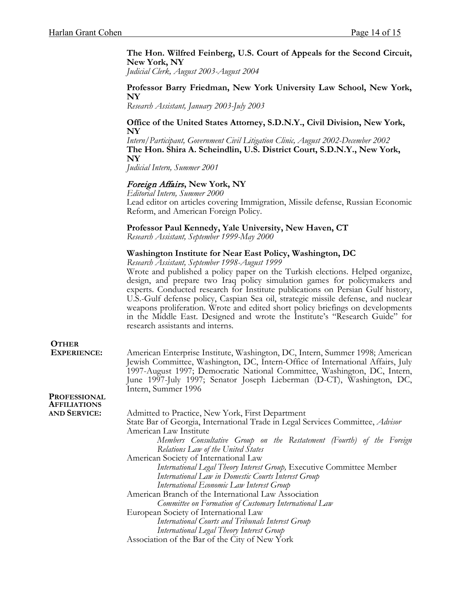**The Hon. Wilfred Feinberg, U.S. Court of Appeals for the Second Circuit, New York, NY**

*Judicial Clerk, August 2003-August 2004*

#### **Professor Barry Friedman, New York University Law School, New York, NY**

*Research Assistant, January 2003-July 2003*

#### **Office of the United States Attorney, S.D.N.Y., Civil Division, New York, NY**

*Intern/Participant, Government Civil Litigation Clinic, August 2002-December 2002* **The Hon. Shira A. Scheindlin, U.S. District Court, S.D.N.Y., New York, NY**

*Judicial Intern, Summer 2001* 

#### Foreign Affairs**, New York, NY**

*Editorial Intern, Summer 2000* Lead editor on articles covering Immigration, Missile defense, Russian Economic Reform, and American Foreign Policy.

# **Professor Paul Kennedy, Yale University, New Haven, CT** *Research Assistant, September 1999-May 2000*

#### **Washington Institute for Near East Policy, Washington, DC**

*Research Assistant, September 1998-August 1999* 

Wrote and published a policy paper on the Turkish elections. Helped organize, design, and prepare two Iraq policy simulation games for policymakers and experts. Conducted research for Institute publications on Persian Gulf history, U.S.-Gulf defense policy, Caspian Sea oil, strategic missile defense, and nuclear weapons proliferation. Wrote and edited short policy briefings on developments in the Middle East. Designed and wrote the Institute's "Research Guide" for research assistants and interns.

## **OTHER**

 **EXPERIENCE:** American Enterprise Institute, Washington, DC, Intern, Summer 1998; American Jewish Committee, Washington, DC, Intern-Office of International Affairs, July 1997-August 1997; Democratic National Committee, Washington, DC, Intern, June 1997-July 1997; Senator Joseph Lieberman (D-CT), Washington, DC, Intern, Summer 1996

### **PROFESSIONAL AFFILIATIONS**

Admitted to Practice, New York, First Department State Bar of Georgia, International Trade in Legal Services Committee, *Advisor* American Law Institute *Members Consultative Group on the Restatement (Fourth) of the Foreign Relations Law of the United States* American Society of International Law *International Legal Theory Interest Group,* Executive Committee Member *International Law in Domestic Courts Interest Group International Economic Law Interest Group* American Branch of the International Law Association *Committee on Formation of Customary International Law* European Society of International Law *International Courts and Tribunals Interest Group International Legal Theory Interest Group* Association of the Bar of the City of New York